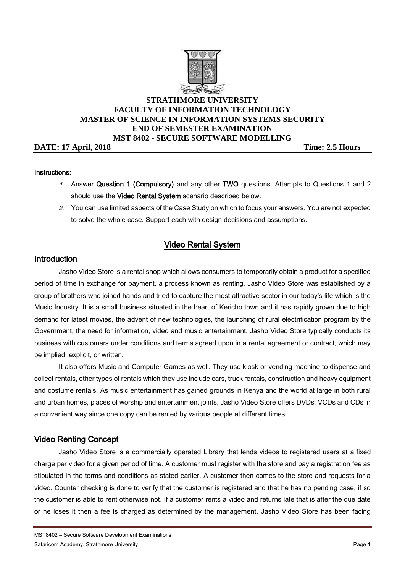

# **STRATHMORE UNIVERSITY FACULTY OF INFORMATION TECHNOLOGY MASTER OF SCIENCE IN INFORMATION SYSTEMS SECURITY END OF SEMESTER EXAMINATION MST 8402 - SECURE SOFTWARE MODELLING**

**DATE:** 17 April, 2018 Time: 2.5 Hours

#### Instructions:

- 1. Answer Question 1 (Compulsory) and any other TWO questions. Attempts to Questions 1 and 2 should use the Video Rental System scenario described below.
- 2. You can use limited aspects of the Case Study on which to focus your answers. You are not expected to solve the whole case. Support each with design decisions and assumptions.

# Video Rental System

## Introduction

Jasho Video Store is a rental shop which allows consumers to temporarily obtain a product for a specified period of time in exchange for payment, a process known as renting. Jasho Video Store was established by a group of brothers who joined hands and tried to capture the most attractive sector in our today's life which is the Music Industry. It is a small business situated in the heart of Kericho town and it has rapidly grown due to high demand for latest movies, the advent of new technologies, the launching of rural electrification program by the Government, the need for information, video and music entertainment. Jasho Video Store typically conducts its business with customers under conditions and terms agreed upon in a rental agreement or contract, which may be implied, explicit, or written.

It also offers Music and Computer Games as well. They use kiosk or vending machine to dispense and collect rentals, other types of rentals which they use include cars, truck rentals, construction and heavy equipment and costume rentals. As music entertainment has gained grounds in Kenya and the world at large in both rural and urban homes, places of worship and entertainment joints, Jasho Video Store offers DVDs, VCDs and CDs in a convenient way since one copy can be rented by various people at different times.

## Video Renting Concept

Jasho Video Store is a commercially operated Library that lends videos to registered users at a fixed charge per video for a given period of time. A customer must register with the store and pay a registration fee as stipulated in the terms and conditions as stated earlier. A customer then comes to the store and requests for a video. Counter checking is done to verify that the customer is registered and that he has no pending case, if so the customer is able to rent otherwise not. If a customer rents a video and returns late that is after the due date or he loses it then a fee is charged as determined by the management. Jasho Video Store has been facing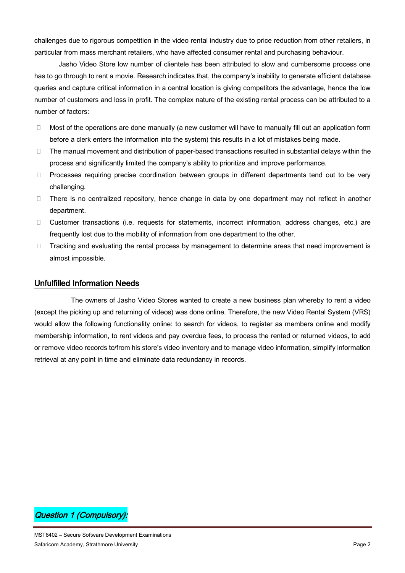challenges due to rigorous competition in the video rental industry due to price reduction from other retailers, in particular from mass merchant retailers, who have affected consumer rental and purchasing behaviour.

Jasho Video Store low number of clientele has been attributed to slow and cumbersome process one has to go through to rent a movie. Research indicates that, the company's inability to generate efficient database queries and capture critical information in a central location is giving competitors the advantage, hence the low number of customers and loss in profit. The complex nature of the existing rental process can be attributed to a number of factors:

- $\Box$  Most of the operations are done manually (a new customer will have to manually fill out an application form before a clerk enters the information into the system) this results in a lot of mistakes being made.
- $\Box$  The manual movement and distribution of paper-based transactions resulted in substantial delays within the process and significantly limited the company's ability to prioritize and improve performance.
- D Processes requiring precise coordination between groups in different departments tend out to be very challenging.
- There is no centralized repository, hence change in data by one department may not reflect in another department.
- Customer transactions (i.e. requests for statements, incorrect information, address changes, etc.) are frequently lost due to the mobility of information from one department to the other.
- $\Box$  Tracking and evaluating the rental process by management to determine areas that need improvement is almost impossible.

### Unfulfilled Information Needs

The owners of Jasho Video Stores wanted to create a new business plan whereby to rent a video (except the picking up and returning of videos) was done online. Therefore, the new Video Rental System (VRS) would allow the following functionality online: to search for videos, to register as members online and modify membership information, to rent videos and pay overdue fees, to process the rented or returned videos, to add or remove video records to/from his store's video inventory and to manage video information, simplify information retrieval at any point in time and eliminate data redundancy in records.

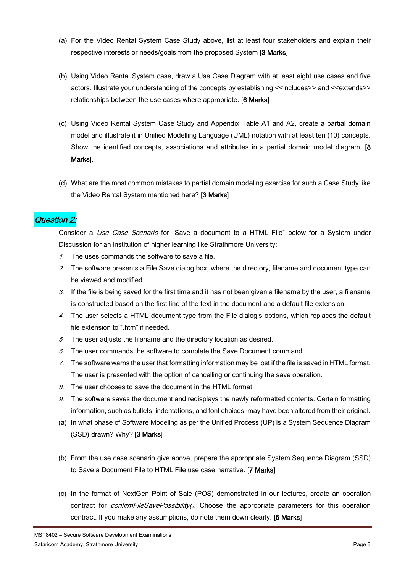- (a) For the Video Rental System Case Study above, list at least four stakeholders and explain their respective interests or needs/goals from the proposed System [3 Marks]
- (b) Using Video Rental System case, draw a Use Case Diagram with at least eight use cases and five actors. Illustrate your understanding of the concepts by establishing <<includes>> and <<extends>> relationships between the use cases where appropriate. [6 Marks]
- (c) Using Video Rental System Case Study and Appendix Table A1 and A2, create a partial domain model and illustrate it in Unified Modelling Language (UML) notation with at least ten (10) concepts. Show the identified concepts, associations and attributes in a partial domain model diagram. [8] Marks].
- (d) What are the most common mistakes to partial domain modeling exercise for such a Case Study like the Video Rental System mentioned here? [3 Marks]

## Question 2:

Consider a *Use Case Scenario* for "Save a document to a HTML File" below for a System under Discussion for an institution of higher learning like Strathmore University:

- 1. The uses commands the software to save a file.
- 2. The software presents a File Save dialog box, where the directory, filename and document type can be viewed and modified.
- 3. If the file is being saved for the first time and it has not been given a filename by the user, a filename is constructed based on the first line of the text in the document and a default file extension.
- 4. The user selects a HTML document type from the File dialog's options, which replaces the default file extension to ".htm" if needed.
- 5. The user adjusts the filename and the directory location as desired.
- $6.$  The user commands the software to complete the Save Document command.
- 7. The software warns the user that formatting information may be lost if the file is saved in HTML format. The user is presented with the option of cancelling or continuing the save operation.
- $8.$  The user chooses to save the document in the HTML format.
- 9. The software saves the document and redisplays the newly reformatted contents. Certain formatting information, such as bullets, indentations, and font choices, may have been altered from their original.
- (a) In what phase of Software Modeling as per the Unified Process (UP) is a System Sequence Diagram (SSD) drawn? Why? [3 Marks]
- (b) From the use case scenario give above, prepare the appropriate System Sequence Diagram (SSD) to Save a Document File to HTML File use case narrative. [7 Marks]
- (c) In the format of NextGen Point of Sale (POS) demonstrated in our lectures, create an operation contract for *confirmFileSavePossibility()*. Choose the appropriate parameters for this operation contract. If you make any assumptions, do note them down clearly. [5 Marks]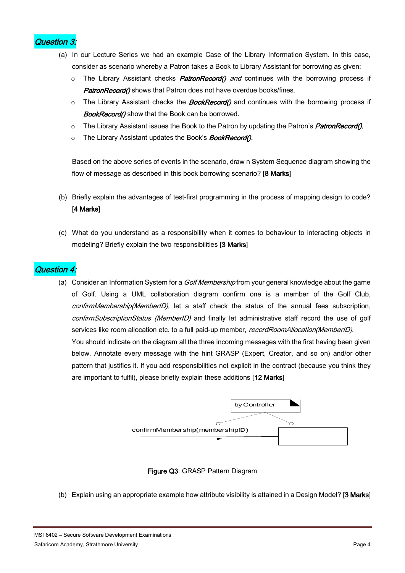

- (a) In our Lecture Series we had an example Case of the Library Information System. In this case, consider as scenario whereby a Patron takes a Book to Library Assistant for borrowing as given:
	- $\circ$  The Library Assistant checks *PatronRecord() and* continues with the borrowing process if PatronRecord() shows that Patron does not have overdue books/fines.
	- $\circ$  The Library Assistant checks the *BookRecord()* and continues with the borrowing process if **BookRecord**() show that the Book can be borrowed.
	- $\circ$  The Library Assistant issues the Book to the Patron by updating the Patron's *PatronRecord()*.
	- o The Library Assistant updates the Book's **BookRecord().**

Based on the above series of events in the scenario, draw n System Sequence diagram showing the flow of message as described in this book borrowing scenario? [8 Marks]

- (b) Briefly explain the advantages of test-first programming in the process of mapping design to code? [4 Marks]
- (c) What do you understand as a responsibility when it comes to behaviour to interacting objects in modeling? Briefly explain the two responsibilities [3 Marks]

# Question 4:

(a) Consider an Information System for a *Golf Membership* from your general knowledge about the game of Golf. Using a UML collaboration diagram confirm one is a member of the Golf Club, confirmMembership(MemberID), let a staff check the status of the annual fees subscription, confirmSubscriptionStatus (MemberID) and finally let administrative staff record the use of golf services like room allocation etc. to a full paid-up member, recordRoomAllocation(MemberID).

You should indicate on the diagram all the three incoming messages with the first having been given below. Annotate every message with the hint GRASP (Expert, Creator, and so on) and/or other pattern that justifies it. If you add responsibilities not explicit in the contract (because you think they are important to fulfil), please briefly explain these additions [12 Marks]





(b) Explain using an appropriate example how attribute visibility is attained in a Design Model? [3 Marks]

MST8402 – Secure Software Development Examinations Safaricom Academy, Strathmore University Page 4